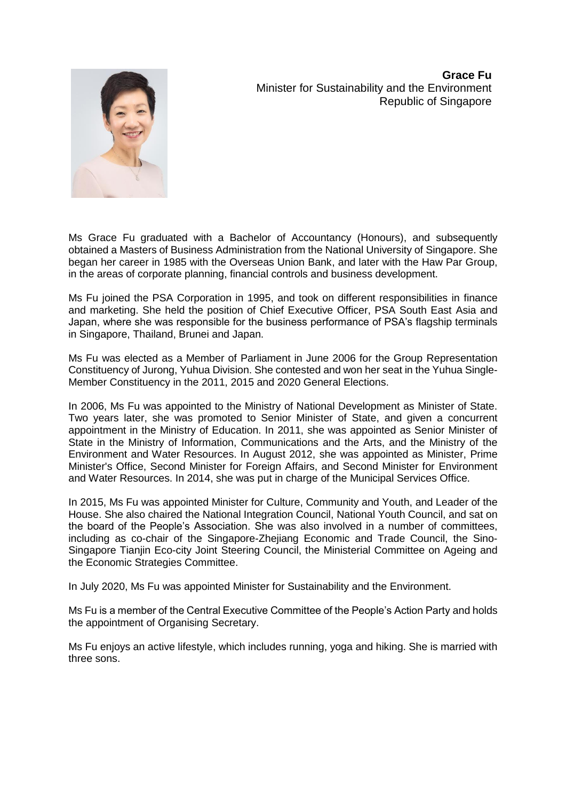**Grace Fu** Minister for Sustainability and the Environment Republic of Singapore



Ms Grace Fu graduated with a Bachelor of Accountancy (Honours), and subsequently obtained a Masters of Business Administration from the National University of Singapore. She began her career in 1985 with the Overseas Union Bank, and later with the Haw Par Group, in the areas of corporate planning, financial controls and business development.

Ms Fu joined the PSA Corporation in 1995, and took on different responsibilities in finance and marketing. She held the position of Chief Executive Officer, PSA South East Asia and Japan, where she was responsible for the business performance of PSA's flagship terminals in Singapore, Thailand, Brunei and Japan.

Ms Fu was elected as a Member of Parliament in June 2006 for the Group Representation Constituency of Jurong, Yuhua Division. She contested and won her seat in the Yuhua Single-Member Constituency in the 2011, 2015 and 2020 General Elections.

In 2006, Ms Fu was appointed to the Ministry of National Development as Minister of State. Two years later, she was promoted to Senior Minister of State, and given a concurrent appointment in the Ministry of Education. In 2011, she was appointed as Senior Minister of State in the Ministry of Information, Communications and the Arts, and the Ministry of the Environment and Water Resources. In August 2012, she was appointed as Minister, Prime Minister's Office, Second Minister for Foreign Affairs, and Second Minister for Environment and Water Resources. In 2014, she was put in charge of the Municipal Services Office.

In 2015, Ms Fu was appointed Minister for Culture, Community and Youth, and Leader of the House. She also chaired the National Integration Council, National Youth Council, and sat on the board of the People's Association. She was also involved in a number of committees, including as co-chair of the Singapore-Zhejiang Economic and Trade Council, the Sino-Singapore Tianjin Eco-city Joint Steering Council, the Ministerial Committee on Ageing and the Economic Strategies Committee.

In July 2020, Ms Fu was appointed Minister for Sustainability and the Environment.

Ms Fu is a member of the Central Executive Committee of the People's Action Party and holds the appointment of Organising Secretary.

Ms Fu enjoys an active lifestyle, which includes running, yoga and hiking. She is married with three sons.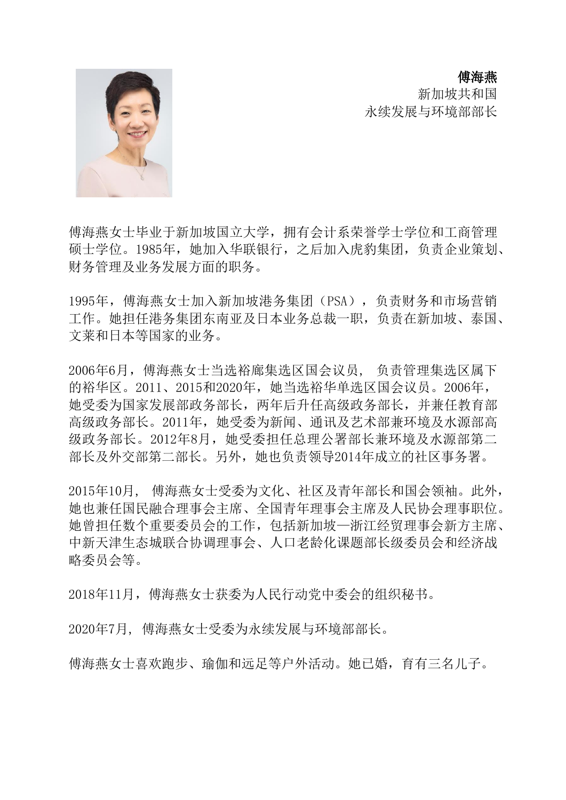傅海燕

新加坡共和国 永续发展与环境部部长

傅海燕女士毕业于新加坡国立大学,拥有会计系荣誉学士学位和工商管理 硕士学位。1985年,她加入华联银行,之后加入虎豹集团,负责企业策划、 财务管理及业务发展方面的职务。

1995年,傅海燕女士加入新加坡港务集团(PSA),负责财务和市场营销 工作。她担任港务集团东南亚及日本业务总裁一职,负责在新加坡、泰国、 文莱和日本等国家的业务。

2006年6月,傅海燕女士当选裕廊集选区国会议员, 负责管理集选区属下 的裕华区。2011、2015和2020年,她当选裕华单选区国会议员。2006年, 她受委为国家发展部政务部长,两年后升任高级政务部长,并兼任教育部 高级政务部长。2011年,她受委为新闻、通讯及艺术部兼环境及水源部高 级政务部长。2012年8月,她受委担任总理公署部长兼环境及水源部第二 部长及外交部第二部长。另外,她也负责领导2014年成立的社区事务署。

2015年10月, 傅海燕女士受委为文化、社区及青年部长和国会领袖。此外, 她也兼任国民融合理事会主席、全国青年理事会主席及人民协会理事职位。 她曾担任数个重要委员会的工作,包括新加坡—浙江经贸理事会新方主席、 中新天津生态城联合协调理事会、人口老龄化课题部长级委员会和经济战 略委员会等。

2018年11月,傅海燕女士获委为人民行动党中委会的组织秘书。

2020年7月, 傅海燕女士受委为永续发展与环境部部长。

傅海燕女士喜欢跑步、瑜伽和远足等户外活动。她已婚,育有三名儿子。